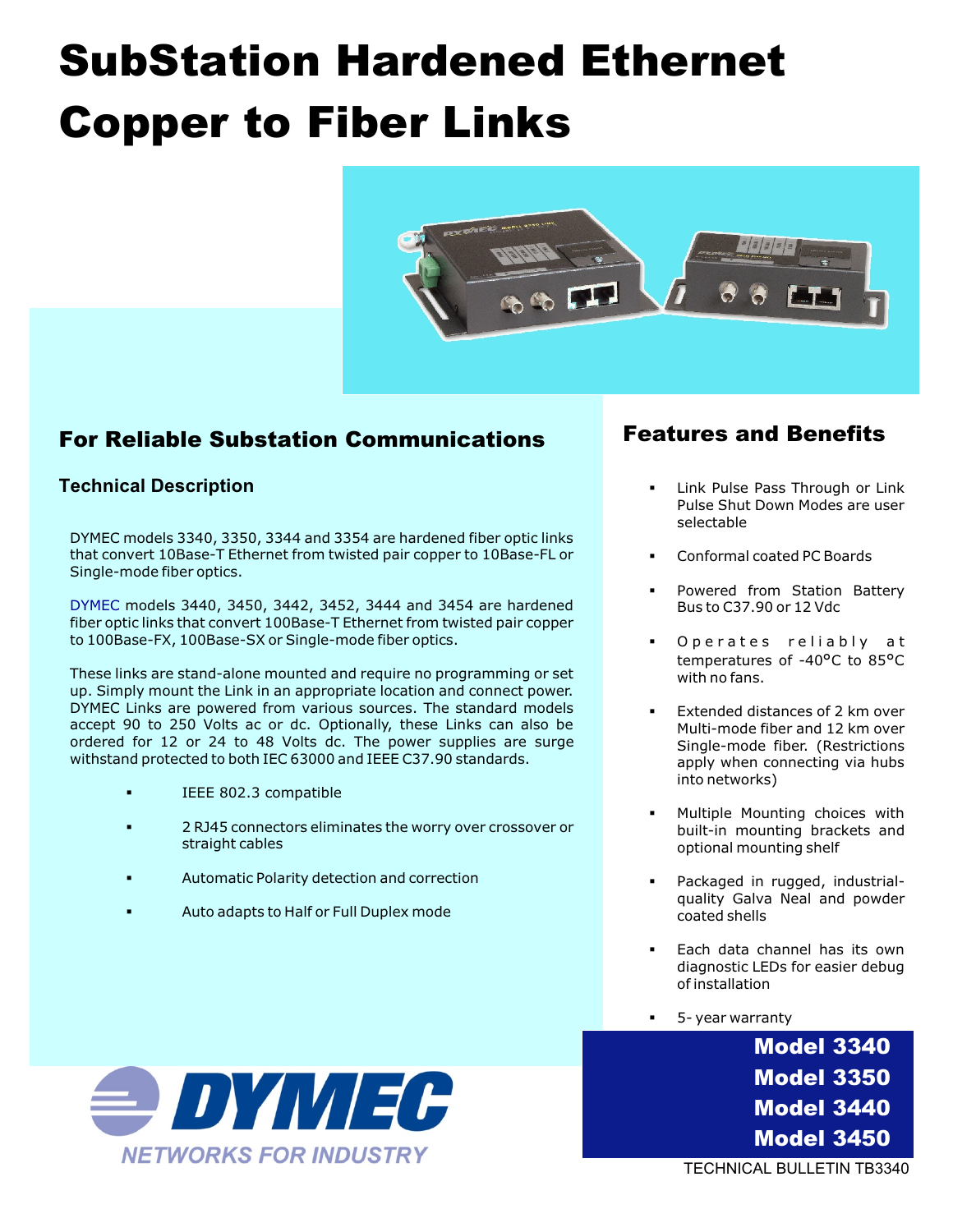# SubStation Hardened Ethernet Copper to Fiber Links



### For Reliable Substation Communications

#### **Technical Description**

DYMEC models 3340, 3350, 3344 and 3354 are hardened fiber optic links that convert 10Base-T Ethernet from twisted pair copper to 10Base-FL or Single-mode fiber optics.

DYMEC models 3440, 3450, 3442, 3452, 3444 and 3454 are hardened fiber optic links that convert 100Base-T Ethernet from twisted pair copper to 100Base-FX, 100Base-SX or Single-mode fiber optics.

These links are stand-alone mounted and require no programming or set up. Simply mount the Link in an appropriate location and connect power. DYMEC Links are powered from various sources. The standard models accept 90 to 250 Volts ac or dc. Optionally, these Links can also be ordered for 12 or 24 to 48 Volts dc. The power supplies are surge withstand protected to both IEC 63000 and IEEE C37.90 standards.

- § IEEE 802.3 compatible
- § 2 RJ45 connectors eliminates the worry over crossover or straight cables
- § Automatic Polarity detection and correction
- § Auto adapts to Half or Full Duplex mode

### Features and Benefits

- Link Pulse Pass Through or Link Pulse Shut Down Modes are user selectable
- § Conformal coated PC Boards
- Powered from Station Battery Bus to C37.90 or 12 Vdc
- § Operates reliably at temperatures of -40°C to 85°C with no fans.
- Extended distances of 2 km over Multi-mode fiber and 12 km over Single-mode fiber. (Restrictions apply when connecting via hubs into networks)
- § Multiple Mounting choices with built-in mounting brackets and optional mounting shelf
- Packaged in rugged, industrialquality Galva Neal and powder coated shells
- Each data channel has its own diagnostic LEDs for easier debug of installation
- § 5- year warranty

Model 3340 Model 3350 Model 3440 Model 3450



TECHNICAL BULLETIN TB3340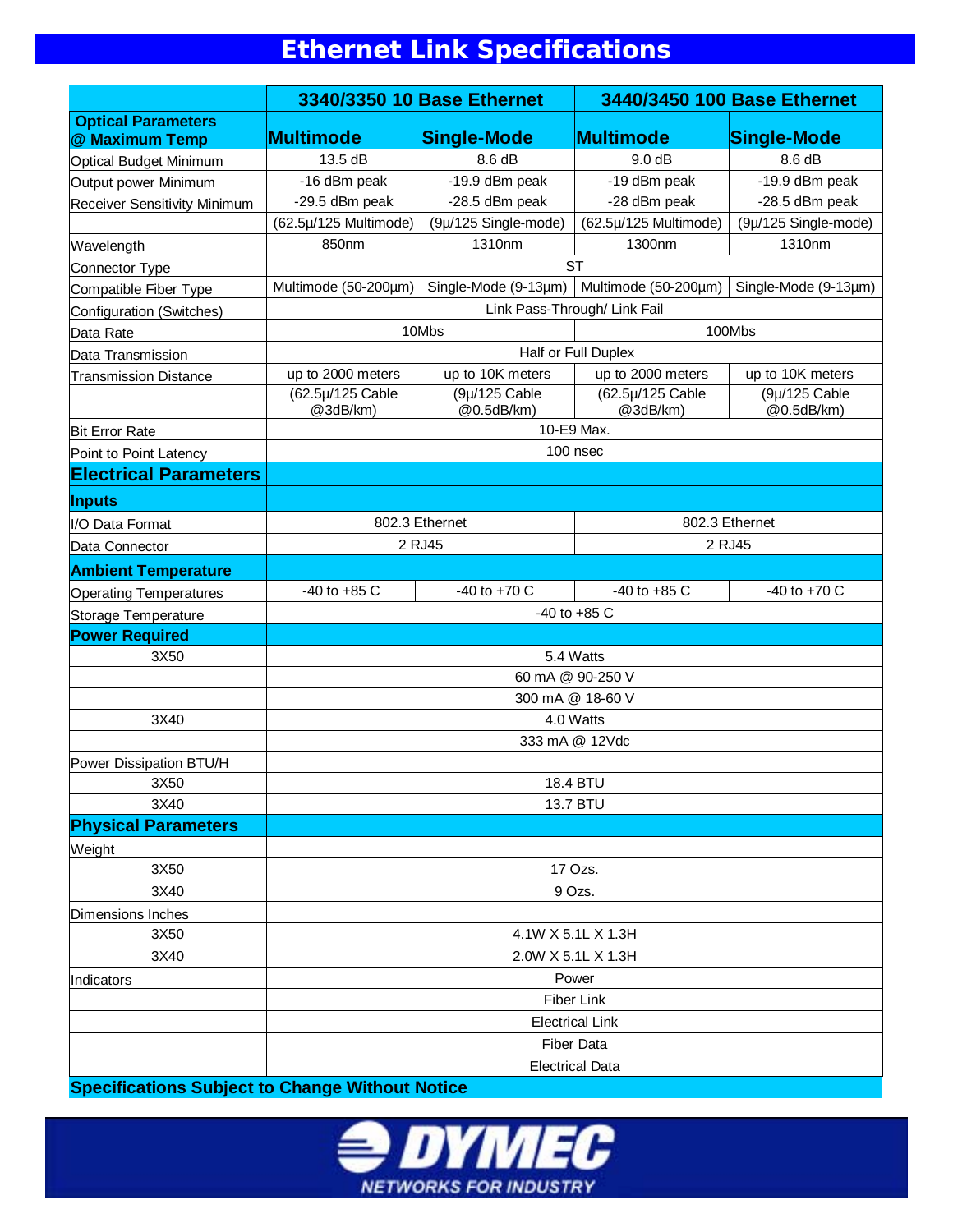## **Ethernet Link Specifications**

|                                             | 3340/3350 10 Base Ethernet                                                                          |                             | 3440/3450 100 Base Ethernet  |                             |  |  |
|---------------------------------------------|-----------------------------------------------------------------------------------------------------|-----------------------------|------------------------------|-----------------------------|--|--|
| <b>Optical Parameters</b><br>@ Maximum Temp | <b>Multimode</b>                                                                                    | Single-Mode                 | <b>Multimode</b>             | Single-Mode                 |  |  |
| <b>Optical Budget Minimum</b>               | 13.5 dB                                                                                             | 8.6 dB                      | 9.0 dB                       | 8.6 dB                      |  |  |
| Output power Minimum                        | -16 dBm peak                                                                                        | -19.9 dBm peak              | -19 dBm peak                 | -19.9 dBm peak              |  |  |
| <b>Receiver Sensitivity Minimum</b>         | -29.5 dBm peak                                                                                      | -28.5 dBm peak              | -28 dBm peak                 | -28.5 dBm peak              |  |  |
|                                             | (62.5µ/125 Multimode)                                                                               | (9µ/125 Single-mode)        | (62.5µ/125 Multimode)        | (9µ/125 Single-mode)        |  |  |
| Wavelength                                  | 850nm                                                                                               | 1310nm                      | 1300nm                       | 1310nm                      |  |  |
| Connector Type                              | <b>ST</b>                                                                                           |                             |                              |                             |  |  |
| Compatible Fiber Type                       | Single-Mode $(9-13\mu m)$ Multimode $(50-200\mu m)$<br>Multimode (50-200µm)<br>Single-Mode (9-13µm) |                             |                              |                             |  |  |
| Configuration (Switches)                    | Link Pass-Through/ Link Fail                                                                        |                             |                              |                             |  |  |
| Data Rate                                   | 10Mbs<br>100Mbs                                                                                     |                             |                              |                             |  |  |
| Data Transmission                           | Half or Full Duplex                                                                                 |                             |                              |                             |  |  |
| <b>Transmission Distance</b>                | up to 2000 meters                                                                                   | up to 10K meters            | up to 2000 meters            | up to 10K meters            |  |  |
|                                             | (62.5µ/125 Cable<br>@3dB/km)                                                                        | (9µ/125 Cable<br>@0.5dB/km) | (62.5µ/125 Cable<br>@3dB/km) | (9µ/125 Cable<br>@0.5dB/km) |  |  |
| <b>Bit Error Rate</b>                       | 10-E9 Max.                                                                                          |                             |                              |                             |  |  |
| Point to Point Latency                      | 100 nsec                                                                                            |                             |                              |                             |  |  |
| <b>Electrical Parameters</b>                |                                                                                                     |                             |                              |                             |  |  |
| <b>Inputs</b>                               |                                                                                                     |                             |                              |                             |  |  |
| I/O Data Format                             | 802.3 Ethernet                                                                                      |                             | 802.3 Ethernet               |                             |  |  |
| Data Connector                              |                                                                                                     | 2 RJ45                      |                              | 2 RJ45                      |  |  |
| <b>Ambient Temperature</b>                  |                                                                                                     |                             |                              |                             |  |  |
| <b>Operating Temperatures</b>               | $-40$ to $+85$ C                                                                                    | $-40$ to $+70$ C            | $-40$ to $+85$ C             | $-40$ to $+70$ C            |  |  |
| Storage Temperature                         |                                                                                                     |                             | -40 to +85 C                 |                             |  |  |
| <b>Power Required</b>                       |                                                                                                     |                             |                              |                             |  |  |
| 3X50                                        | 5.4 Watts<br>60 mA @ 90-250 V                                                                       |                             |                              |                             |  |  |
|                                             |                                                                                                     |                             |                              |                             |  |  |
|                                             | 300 mA @ 18-60 V                                                                                    |                             |                              |                             |  |  |
| 3X40                                        | 4.0 Watts                                                                                           |                             |                              |                             |  |  |
|                                             | 333 mA @ 12Vdc                                                                                      |                             |                              |                             |  |  |
| Power Dissipation BTU/H                     |                                                                                                     |                             |                              |                             |  |  |
| 3X50                                        | 18.4 BTU                                                                                            |                             |                              |                             |  |  |
| 3X40                                        | 13.7 BTU                                                                                            |                             |                              |                             |  |  |
| <b>Physical Parameters</b>                  |                                                                                                     |                             |                              |                             |  |  |
| Weight                                      |                                                                                                     |                             |                              |                             |  |  |
| 3X50                                        | 17 Ozs.                                                                                             |                             |                              |                             |  |  |
| 3X40                                        | 9 Ozs.                                                                                              |                             |                              |                             |  |  |
| <b>Dimensions Inches</b>                    |                                                                                                     |                             |                              |                             |  |  |
| 3X50                                        | 4.1W X 5.1L X 1.3H                                                                                  |                             |                              |                             |  |  |
| 3X40                                        | 2.0W X 5.1L X 1.3H                                                                                  |                             |                              |                             |  |  |
| Indicators                                  | Power                                                                                               |                             |                              |                             |  |  |
|                                             | Fiber Link                                                                                          |                             |                              |                             |  |  |
|                                             | <b>Electrical Link</b>                                                                              |                             |                              |                             |  |  |
|                                             | <b>Fiber Data</b>                                                                                   |                             |                              |                             |  |  |
|                                             | <b>Electrical Data</b>                                                                              |                             |                              |                             |  |  |

**Specifications Subject to Change Without Notice**

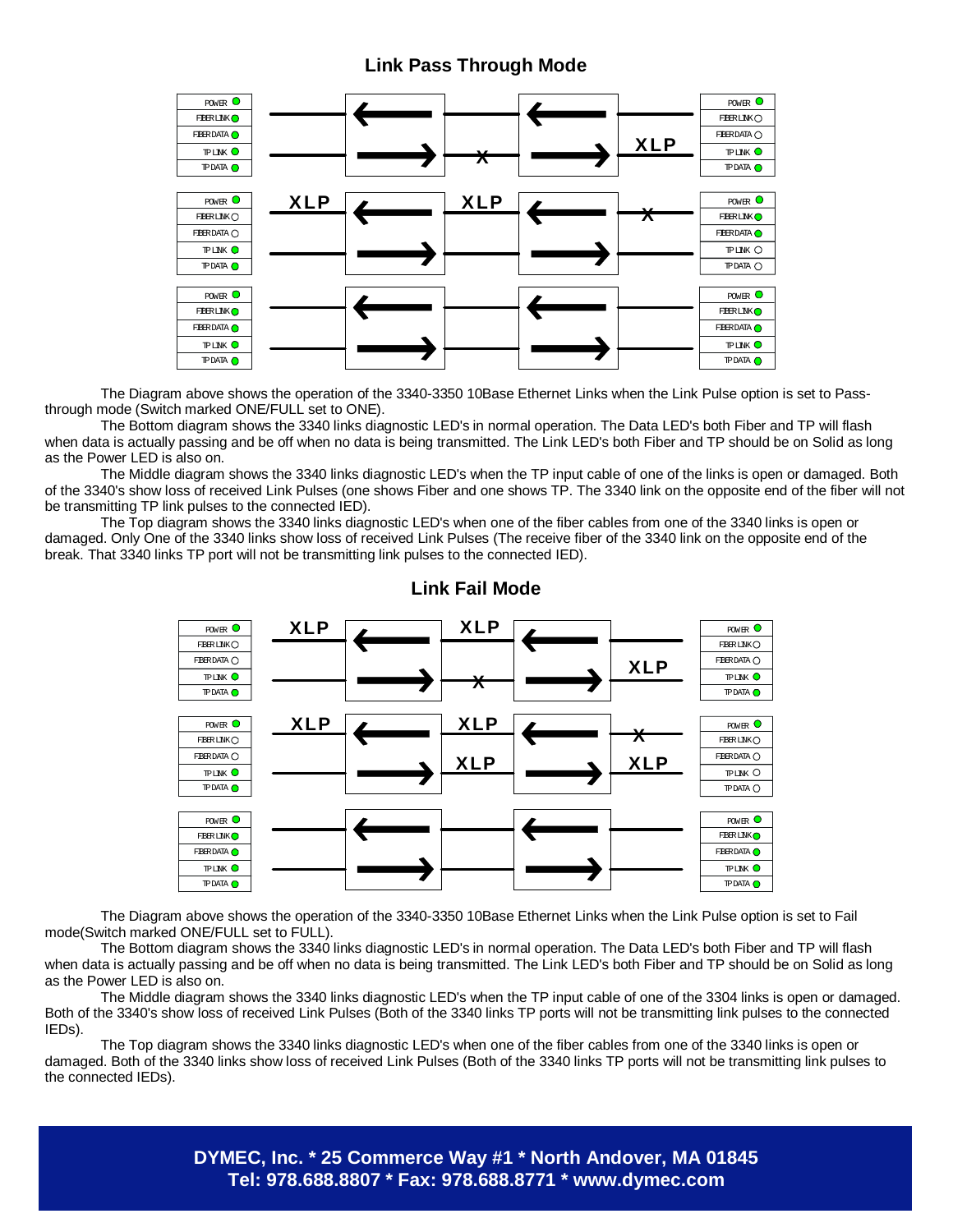#### **Link Pass Through Mode**



The Diagram above shows the operation of the 3340-3350 10Base Ethernet Links when the Link Pulse option is set to Passthrough mode (Switch marked ONE/FULL set to ONE).

 The Bottom diagram shows the 3340 links diagnostic LED's in normal operation. The Data LED's both Fiber and TP will flash when data is actually passing and be off when no data is being transmitted. The Link LED's both Fiber and TP should be on Solid as long as the Power LED is also on.

 The Middle diagram shows the 3340 links diagnostic LED's when the TP input cable of one of the links is open or damaged. Both of the 3340's show loss of received Link Pulses (one shows Fiber and one shows TP. The 3340 link on the opposite end of the fiber will not be transmitting TP link pulses to the connected IED).

 The Top diagram shows the 3340 links diagnostic LED's when one of the fiber cables from one of the 3340 links is open or damaged. Only One of the 3340 links show loss of received Link Pulses (The receive fiber of the 3340 link on the opposite end of the break. That 3340 links TP port will not be transmitting link pulses to the connected IED).



#### **Link Fail Mode**

The Diagram above shows the operation of the 3340-3350 10Base Ethernet Links when the Link Pulse option is set to Fail mode(Switch marked ONE/FULL set to FULL).

 The Bottom diagram shows the 3340 links diagnostic LED's in normal operation. The Data LED's both Fiber and TP will flash when data is actually passing and be off when no data is being transmitted. The Link LED's both Fiber and TP should be on Solid as long as the Power LED is also on.

 The Middle diagram shows the 3340 links diagnostic LED's when the TP input cable of one of the 3304 links is open or damaged. Both of the 3340's show loss of received Link Pulses (Both of the 3340 links TP ports will not be transmitting link pulses to the connected IEDs).

 The Top diagram shows the 3340 links diagnostic LED's when one of the fiber cables from one of the 3340 links is open or damaged. Both of the 3340 links show loss of received Link Pulses (Both of the 3340 links TP ports will not be transmitting link pulses to the connected IEDs).